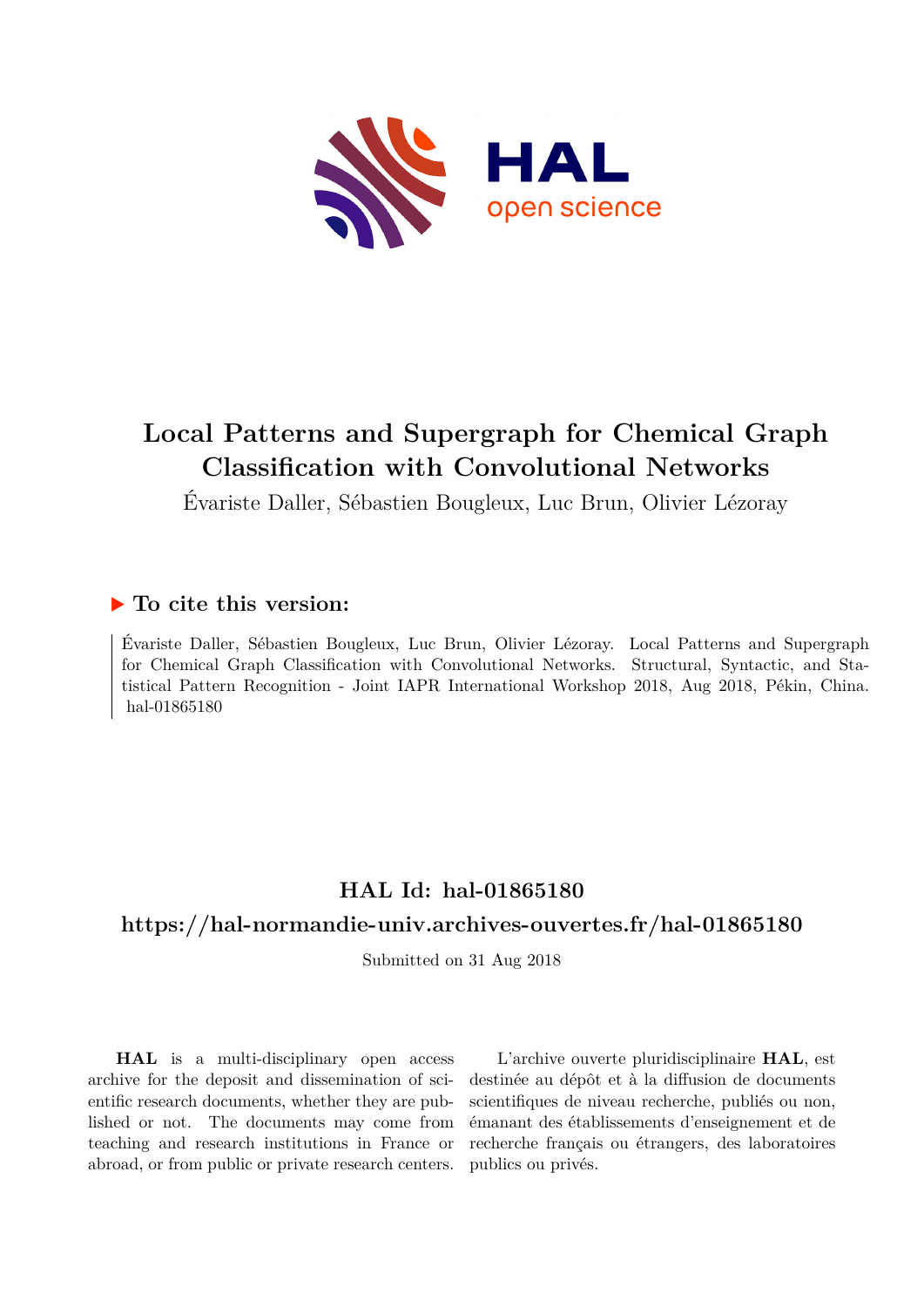

# **Local Patterns and Supergraph for Chemical Graph Classification with Convolutional Networks**

Évariste Daller, Sébastien Bougleux, Luc Brun, Olivier Lézoray

# **To cite this version:**

Évariste Daller, Sébastien Bougleux, Luc Brun, Olivier Lézoray. Local Patterns and Supergraph for Chemical Graph Classification with Convolutional Networks. Structural, Syntactic, and Statistical Pattern Recognition - Joint IAPR International Workshop 2018, Aug 2018, Pékin, China. hal-01865180

# **HAL Id: hal-01865180**

# **<https://hal-normandie-univ.archives-ouvertes.fr/hal-01865180>**

Submitted on 31 Aug 2018

**HAL** is a multi-disciplinary open access archive for the deposit and dissemination of scientific research documents, whether they are published or not. The documents may come from teaching and research institutions in France or abroad, or from public or private research centers.

L'archive ouverte pluridisciplinaire **HAL**, est destinée au dépôt et à la diffusion de documents scientifiques de niveau recherche, publiés ou non, émanant des établissements d'enseignement et de recherche français ou étrangers, des laboratoires publics ou privés.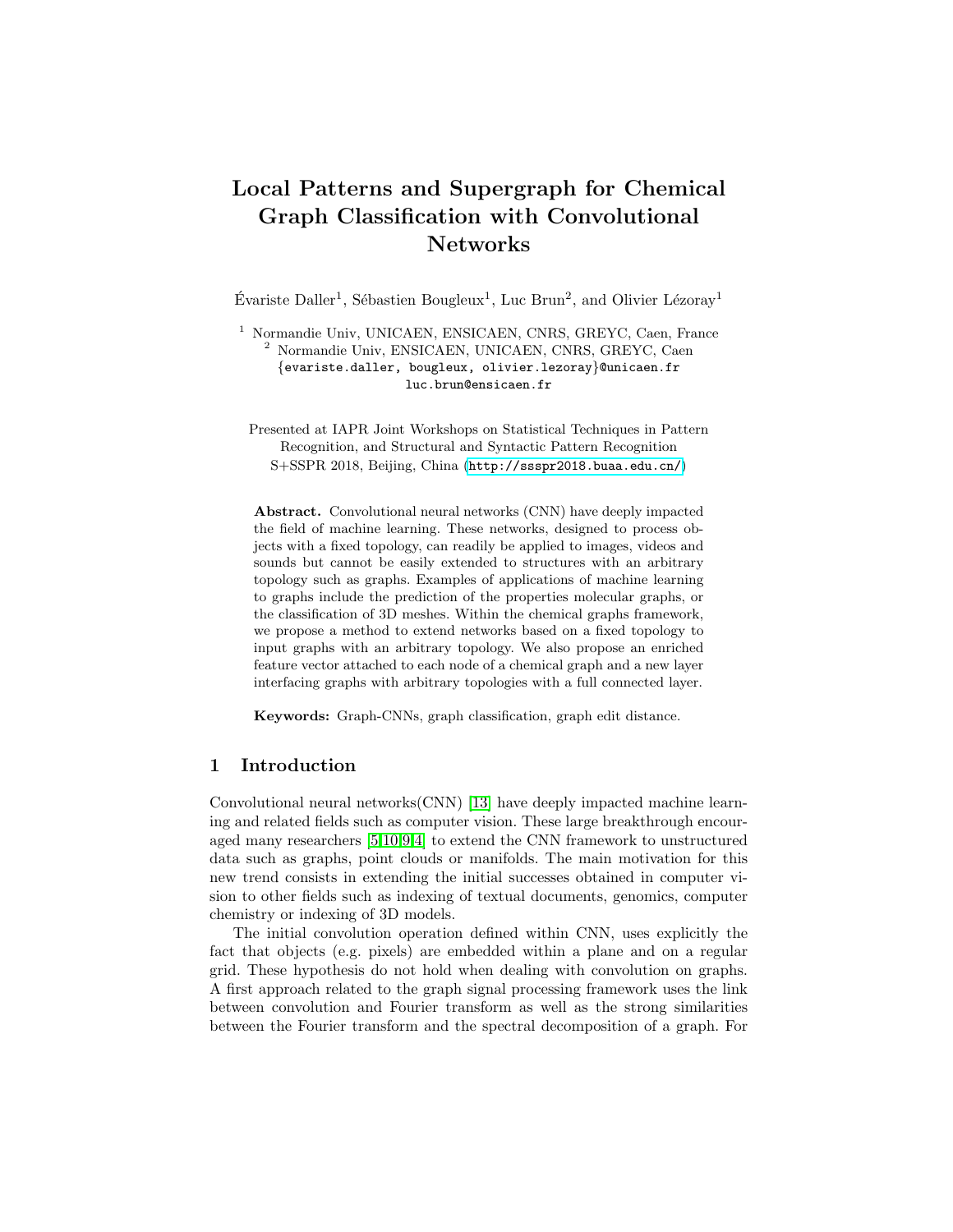# Local Patterns and Supergraph for Chemical Graph Classification with Convolutional Networks

Évariste Daller<sup>1</sup>, Sébastien Bougleux<sup>1</sup>, Luc Brun<sup>2</sup>, and Olivier Lézoray<sup>1</sup>

<sup>1</sup> Normandie Univ, UNICAEN, ENSICAEN, CNRS, GREYC, Caen, France <sup>2</sup> Normandie Univ, ENSICAEN, UNICAEN, CNRS, GREYC, Caen {evariste.daller, bougleux, olivier.lezoray}@unicaen.fr luc.brun@ensicaen.fr

Presented at IAPR Joint Workshops on Statistical Techniques in Pattern Recognition, and Structural and Syntactic Pattern Recognition S+SSPR 2018, Beijing, China (<http://ssspr2018.buaa.edu.cn/>)

Abstract. Convolutional neural networks (CNN) have deeply impacted the field of machine learning. These networks, designed to process objects with a fixed topology, can readily be applied to images, videos and sounds but cannot be easily extended to structures with an arbitrary topology such as graphs. Examples of applications of machine learning to graphs include the prediction of the properties molecular graphs, or the classification of 3D meshes. Within the chemical graphs framework, we propose a method to extend networks based on a fixed topology to input graphs with an arbitrary topology. We also propose an enriched feature vector attached to each node of a chemical graph and a new layer interfacing graphs with arbitrary topologies with a full connected layer.

Keywords: Graph-CNNs, graph classification, graph edit distance.

## 1 Introduction

Convolutional neural networks(CNN) [13] have deeply impacted machine learning and related fields such as computer vision. These large breakthrough encouraged many researchers [5,10,9,4] to extend the CNN framework to unstructured data such as graphs, point clouds or manifolds. The main motivation for this new trend consists in extending the initial successes obtained in computer vision to other fields such as indexing of textual documents, genomics, computer chemistry or indexing of 3D models.

The initial convolution operation defined within CNN, uses explicitly the fact that objects (e.g. pixels) are embedded within a plane and on a regular grid. These hypothesis do not hold when dealing with convolution on graphs. A first approach related to the graph signal processing framework uses the link between convolution and Fourier transform as well as the strong similarities between the Fourier transform and the spectral decomposition of a graph. For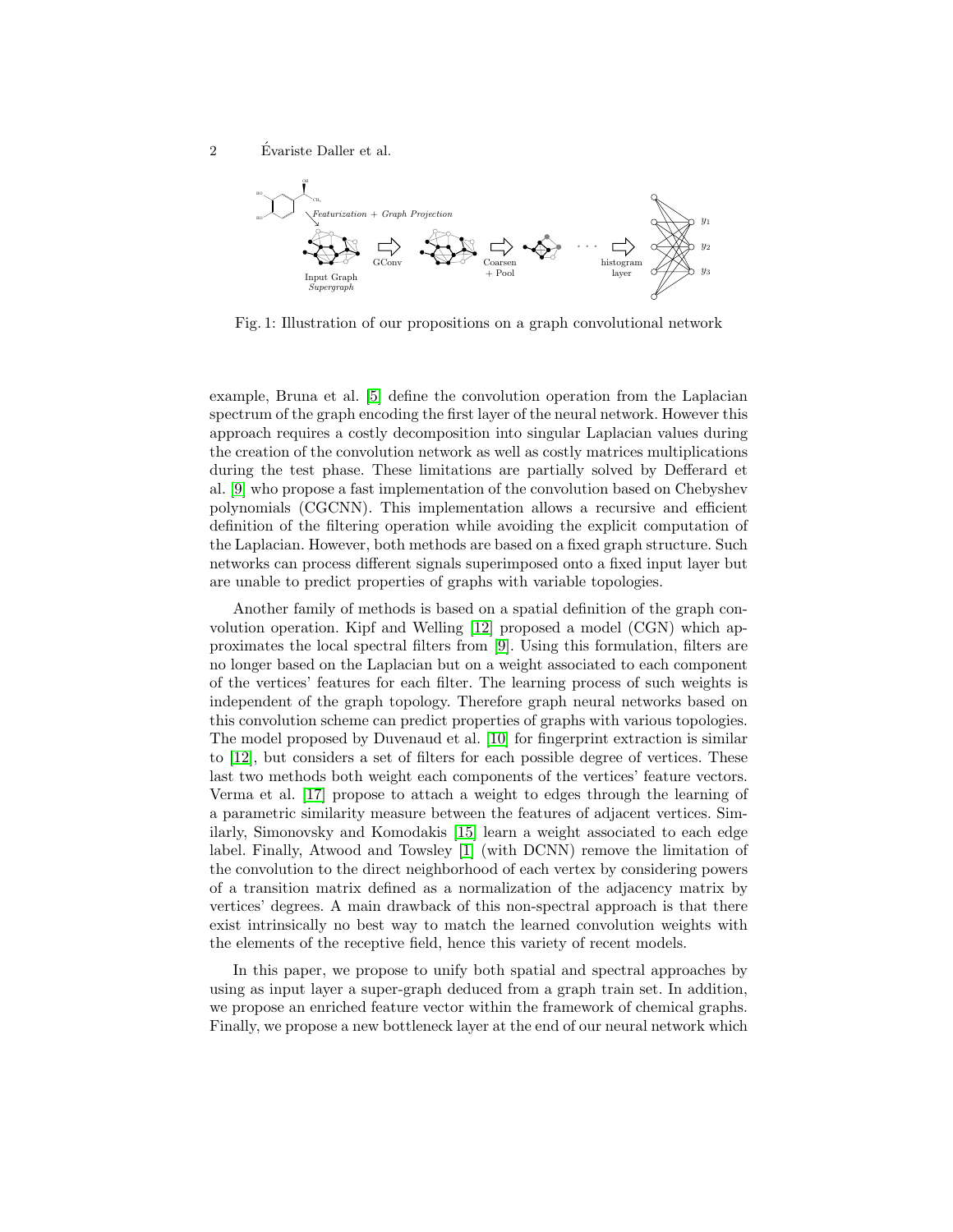2 Evariste Daller et al.



Fig. 1: Illustration of our propositions on a graph convolutional network

example, Bruna et al. [5] define the convolution operation from the Laplacian spectrum of the graph encoding the first layer of the neural network. However this approach requires a costly decomposition into singular Laplacian values during the creation of the convolution network as well as costly matrices multiplications during the test phase. These limitations are partially solved by Defferard et al. [9] who propose a fast implementation of the convolution based on Chebyshev polynomials (CGCNN). This implementation allows a recursive and efficient definition of the filtering operation while avoiding the explicit computation of the Laplacian. However, both methods are based on a fixed graph structure. Such networks can process different signals superimposed onto a fixed input layer but are unable to predict properties of graphs with variable topologies.

Another family of methods is based on a spatial definition of the graph convolution operation. Kipf and Welling [12] proposed a model (CGN) which approximates the local spectral filters from [9]. Using this formulation, filters are no longer based on the Laplacian but on a weight associated to each component of the vertices' features for each filter. The learning process of such weights is independent of the graph topology. Therefore graph neural networks based on this convolution scheme can predict properties of graphs with various topologies. The model proposed by Duvenaud et al. [10] for fingerprint extraction is similar to [12], but considers a set of filters for each possible degree of vertices. These last two methods both weight each components of the vertices' feature vectors. Verma et al. [17] propose to attach a weight to edges through the learning of a parametric similarity measure between the features of adjacent vertices. Similarly, Simonovsky and Komodakis [15] learn a weight associated to each edge label. Finally, Atwood and Towsley [1] (with DCNN) remove the limitation of the convolution to the direct neighborhood of each vertex by considering powers of a transition matrix defined as a normalization of the adjacency matrix by vertices' degrees. A main drawback of this non-spectral approach is that there exist intrinsically no best way to match the learned convolution weights with the elements of the receptive field, hence this variety of recent models.

In this paper, we propose to unify both spatial and spectral approaches by using as input layer a super-graph deduced from a graph train set. In addition, we propose an enriched feature vector within the framework of chemical graphs. Finally, we propose a new bottleneck layer at the end of our neural network which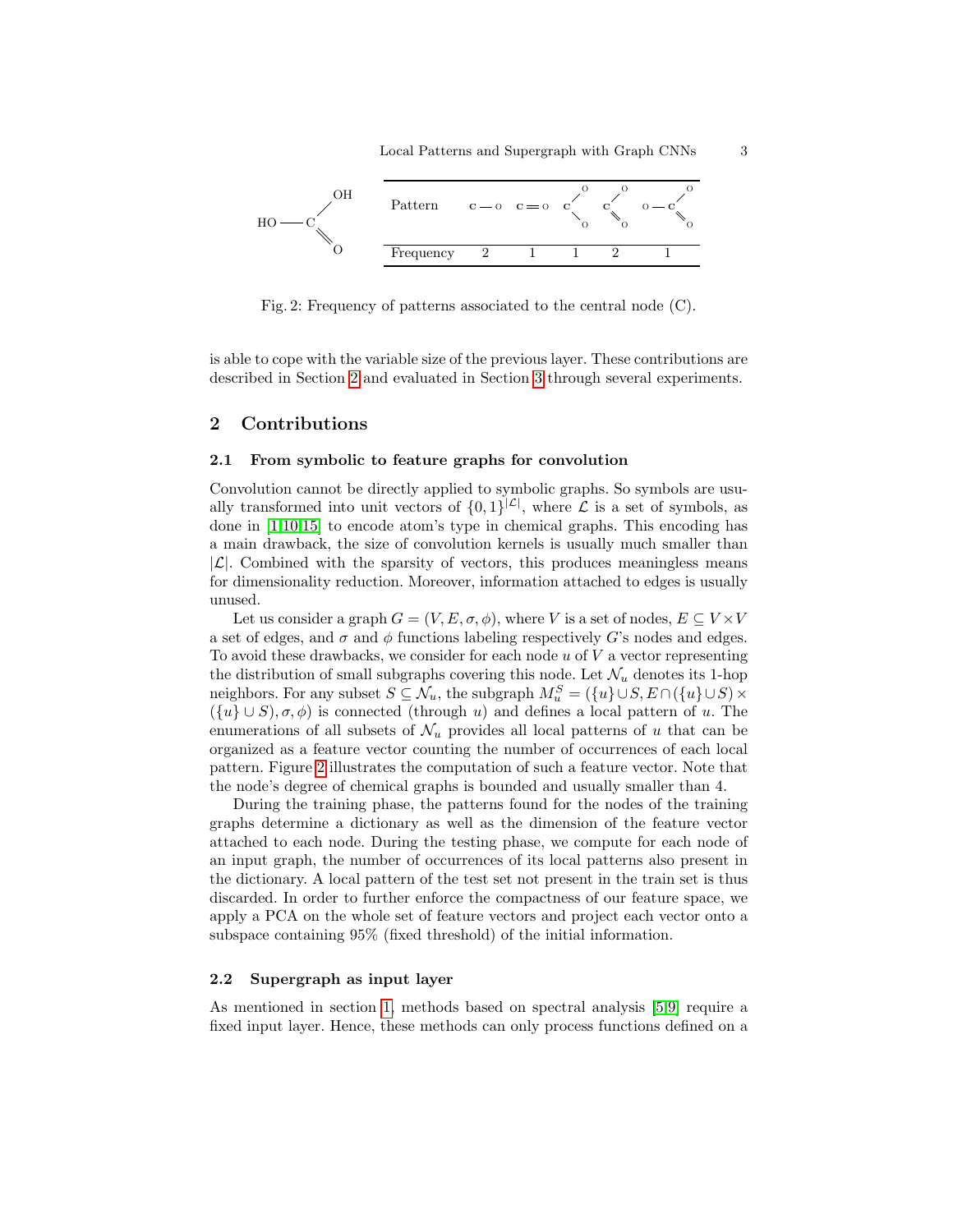

Fig. 2: Frequency of patterns associated to the central node (C).

is able to cope with the variable size of the previous layer. These contributions are described in Section 2 and evaluated in Section 3 through several experiments.

### 2 Contributions

### 2.1 From symbolic to feature graphs for convolution

Convolution cannot be directly applied to symbolic graphs. So symbols are usually transformed into unit vectors of  $\{0,1\}^{|\mathcal{L}|}$ , where  $\mathcal L$  is a set of symbols, as done in [1,10,15] to encode atom's type in chemical graphs. This encoding has a main drawback, the size of convolution kernels is usually much smaller than  $|\mathcal{L}|$ . Combined with the sparsity of vectors, this produces meaningless means for dimensionality reduction. Moreover, information attached to edges is usually unused.

Let us consider a graph  $G = (V, E, \sigma, \phi)$ , where V is a set of nodes,  $E \subseteq V \times V$ a set of edges, and  $\sigma$  and  $\phi$  functions labeling respectively G's nodes and edges. To avoid these drawbacks, we consider for each node  $u$  of  $V$  a vector representing the distribution of small subgraphs covering this node. Let  $\mathcal{N}_u$  denotes its 1-hop neighbors. For any subset  $S \subseteq \mathcal{N}_u$ , the subgraph  $M_u^S = (\{u\} \cup S, E \cap (\{u\} \cup S) \times$  $({u} \cup S)$ ,  $\sigma$ ,  $\phi$ ) is connected (through u) and defines a local pattern of u. The enumerations of all subsets of  $\mathcal{N}_u$  provides all local patterns of u that can be organized as a feature vector counting the number of occurrences of each local pattern. Figure 2 illustrates the computation of such a feature vector. Note that the node's degree of chemical graphs is bounded and usually smaller than 4.

During the training phase, the patterns found for the nodes of the training graphs determine a dictionary as well as the dimension of the feature vector attached to each node. During the testing phase, we compute for each node of an input graph, the number of occurrences of its local patterns also present in the dictionary. A local pattern of the test set not present in the train set is thus discarded. In order to further enforce the compactness of our feature space, we apply a PCA on the whole set of feature vectors and project each vector onto a subspace containing 95% (fixed threshold) of the initial information.

#### 2.2 Supergraph as input layer

As mentioned in section 1, methods based on spectral analysis [5,9] require a fixed input layer. Hence, these methods can only process functions defined on a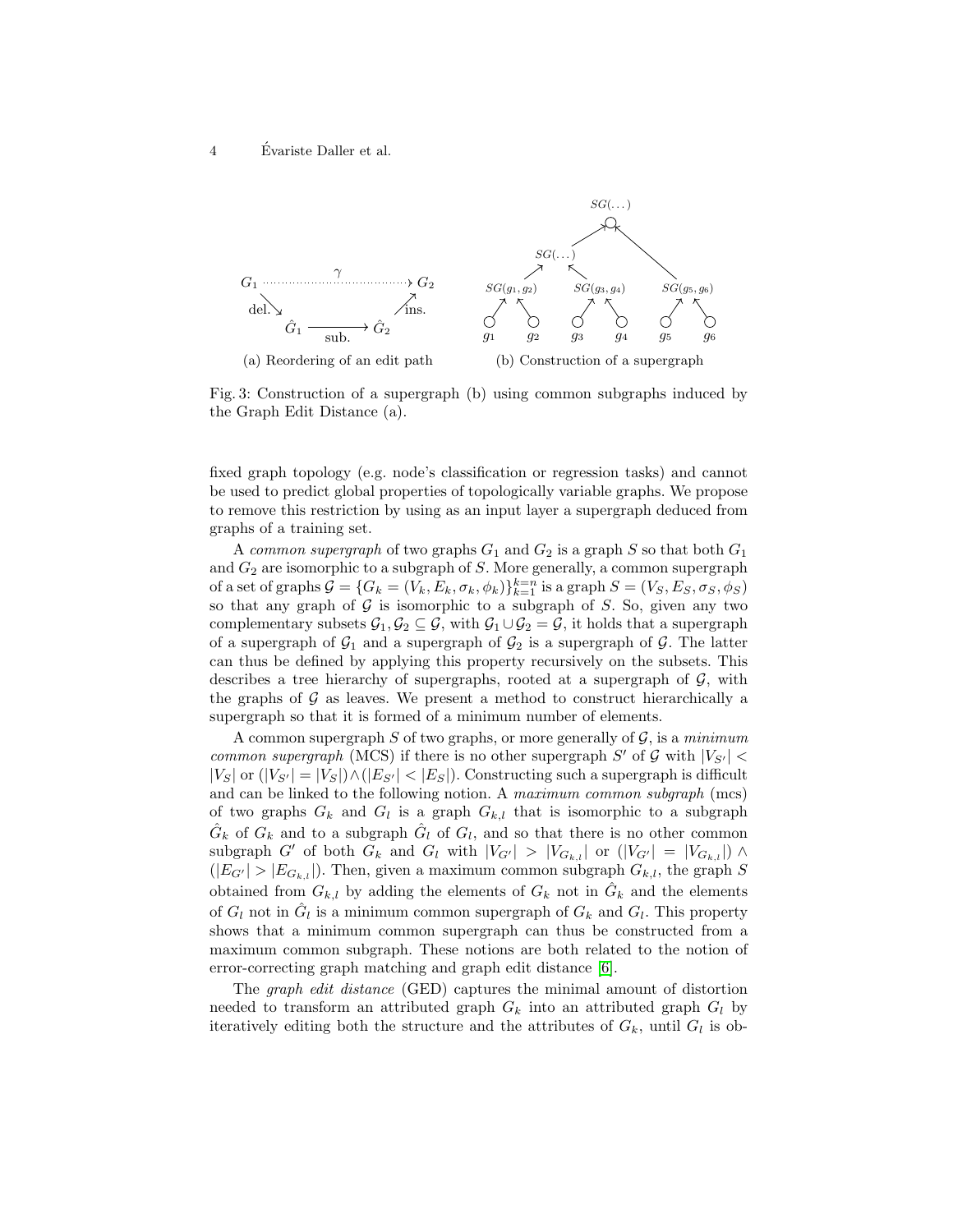

Fig. 3: Construction of a supergraph (b) using common subgraphs induced by the Graph Edit Distance (a).

fixed graph topology (e.g. node's classification or regression tasks) and cannot be used to predict global properties of topologically variable graphs. We propose to remove this restriction by using as an input layer a supergraph deduced from graphs of a training set.

A common supergraph of two graphs  $G_1$  and  $G_2$  is a graph S so that both  $G_1$ and  $G_2$  are isomorphic to a subgraph of  $S$ . More generally, a common supergraph of a set of graphs  $G = \{G_k = (V_k, E_k, \sigma_k, \phi_k)\}_{k=1}^{k=n}$  is a graph  $S = (V_S, E_S, \sigma_S, \phi_S)$ so that any graph of  $G$  is isomorphic to a subgraph of  $S$ . So, given any two complementary subsets  $\mathcal{G}_1, \mathcal{G}_2 \subseteq \mathcal{G}$ , with  $\mathcal{G}_1 \cup \mathcal{G}_2 = \mathcal{G}$ , it holds that a supergraph of a supergraph of  $\mathcal{G}_1$  and a supergraph of  $\mathcal{G}_2$  is a supergraph of  $\mathcal{G}$ . The latter can thus be defined by applying this property recursively on the subsets. This describes a tree hierarchy of supergraphs, rooted at a supergraph of  $\mathcal{G}$ , with the graphs of  $\mathcal G$  as leaves. We present a method to construct hierarchically a supergraph so that it is formed of a minimum number of elements.

A common supergraph S of two graphs, or more generally of  $\mathcal{G}$ , is a minimum common supergraph (MCS) if there is no other supergraph  $S'$  of  $G$  with  $|V_{S'}|$  <  $|V_S|$  or  $(|V_{S'}| = |V_S|) \wedge (|E_{S'}| < |E_S|)$ . Constructing such a supergraph is difficult and can be linked to the following notion. A maximum common subgraph (mcs) of two graphs  $G_k$  and  $G_l$  is a graph  $G_{k,l}$  that is isomorphic to a subgraph  $\hat{G}_k$  of  $G_k$  and to a subgraph  $\hat{G}_l$  of  $G_l$ , and so that there is no other common subgraph G' of both  $G_k$  and  $G_l$  with  $|V_{G'}| > |V_{G_{k,l}}|$  or  $(|V_{G'}| = |V_{G_{k,l}}|) \wedge$  $(|E_{G'}|>|E_{G_{k,l}}|)$ . Then, given a maximum common subgraph  $G_{k,l}$ , the graph S obtained from  $G_{k,l}$  by adding the elements of  $G_k$  not in  $\hat{G}_k$  and the elements of  $G_l$  not in  $\hat{G}_l$  is a minimum common supergraph of  $G_k$  and  $G_l$ . This property shows that a minimum common supergraph can thus be constructed from a maximum common subgraph. These notions are both related to the notion of error-correcting graph matching and graph edit distance [6].

The graph edit distance (GED) captures the minimal amount of distortion needed to transform an attributed graph  $G_k$  into an attributed graph  $G_l$  by iteratively editing both the structure and the attributes of  $G_k$ , until  $G_l$  is ob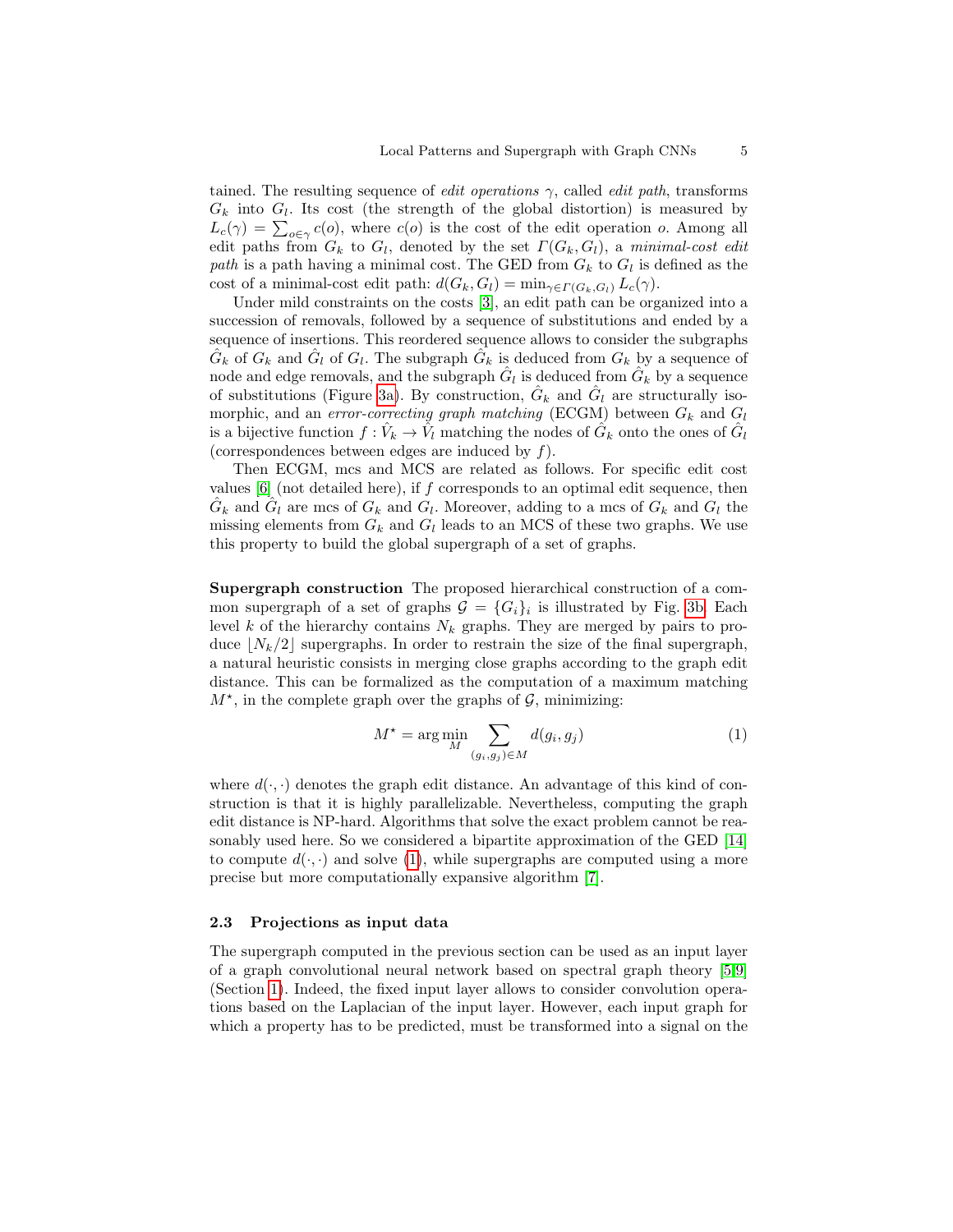tained. The resulting sequence of *edit operations*  $\gamma$ , called *edit path*, transforms  $G_k$  into  $G_l$ . Its cost (the strength of the global distortion) is measured by  $L_c(\gamma) = \sum_{o \in \gamma} c(o)$ , where  $c(o)$  is the cost of the edit operation o. Among all edit paths from  $G_k$  to  $G_l$ , denoted by the set  $\Gamma(G_k, G_l)$ , a minimal-cost edit path is a path having a minimal cost. The GED from  $G_k$  to  $G_l$  is defined as the cost of a minimal-cost edit path:  $d(G_k, G_l) = \min_{\gamma \in \Gamma(G_k, G_l)} L_c(\gamma)$ .

Under mild constraints on the costs [3], an edit path can be organized into a succession of removals, followed by a sequence of substitutions and ended by a sequence of insertions. This reordered sequence allows to consider the subgraphs  $\hat{G}_k$  of  $G_k$  and  $\hat{G}_l$  of  $G_l$ . The subgraph  $\hat{G}_k$  is deduced from  $G_k$  by a sequence of node and edge removals, and the subgraph  $\hat{G}_l$  is deduced from  $\hat{G}_k$  by a sequence of substitutions (Figure 3a). By construction,  $\hat{G}_k$  and  $\hat{G}_l$  are structurally isomorphic, and an error-correcting graph matching (ECGM) between  $G_k$  and  $G_l$ is a bijective function  $f: \hat{V}_k \to \hat{V}_l$  matching the nodes of  $\hat{G}_k$  onto the ones of  $\hat{G}_l$ (correspondences between edges are induced by f).

Then ECGM, mcs and MCS are related as follows. For specific edit cost values  $[6]$  (not detailed here), if f corresponds to an optimal edit sequence, then  $\hat{G}_k$  and  $\hat{G}_l$  are mcs of  $G_k$  and  $G_l$ . Moreover, adding to a mcs of  $G_k$  and  $G_l$  the missing elements from  $G_k$  and  $G_l$  leads to an MCS of these two graphs. We use this property to build the global supergraph of a set of graphs.

Supergraph construction The proposed hierarchical construction of a common supergraph of a set of graphs  $\mathcal{G} = \{G_i\}_i$  is illustrated by Fig. 3b. Each level k of the hierarchy contains  $N_k$  graphs. They are merged by pairs to produce  $\lfloor N_k/2 \rfloor$  supergraphs. In order to restrain the size of the final supergraph, a natural heuristic consists in merging close graphs according to the graph edit distance. This can be formalized as the computation of a maximum matching  $M^*$ , in the complete graph over the graphs of  $\mathcal{G}$ , minimizing:

$$
M^* = \arg\min_{M} \sum_{(g_i, g_j) \in M} d(g_i, g_j)
$$
 (1)

where  $d(\cdot, \cdot)$  denotes the graph edit distance. An advantage of this kind of construction is that it is highly parallelizable. Nevertheless, computing the graph edit distance is NP-hard. Algorithms that solve the exact problem cannot be reasonably used here. So we considered a bipartite approximation of the GED [14] to compute  $d(\cdot, \cdot)$  and solve (1), while supergraphs are computed using a more precise but more computationally expansive algorithm [7].

#### 2.3 Projections as input data

The supergraph computed in the previous section can be used as an input layer of a graph convolutional neural network based on spectral graph theory [5,9] (Section 1). Indeed, the fixed input layer allows to consider convolution operations based on the Laplacian of the input layer. However, each input graph for which a property has to be predicted, must be transformed into a signal on the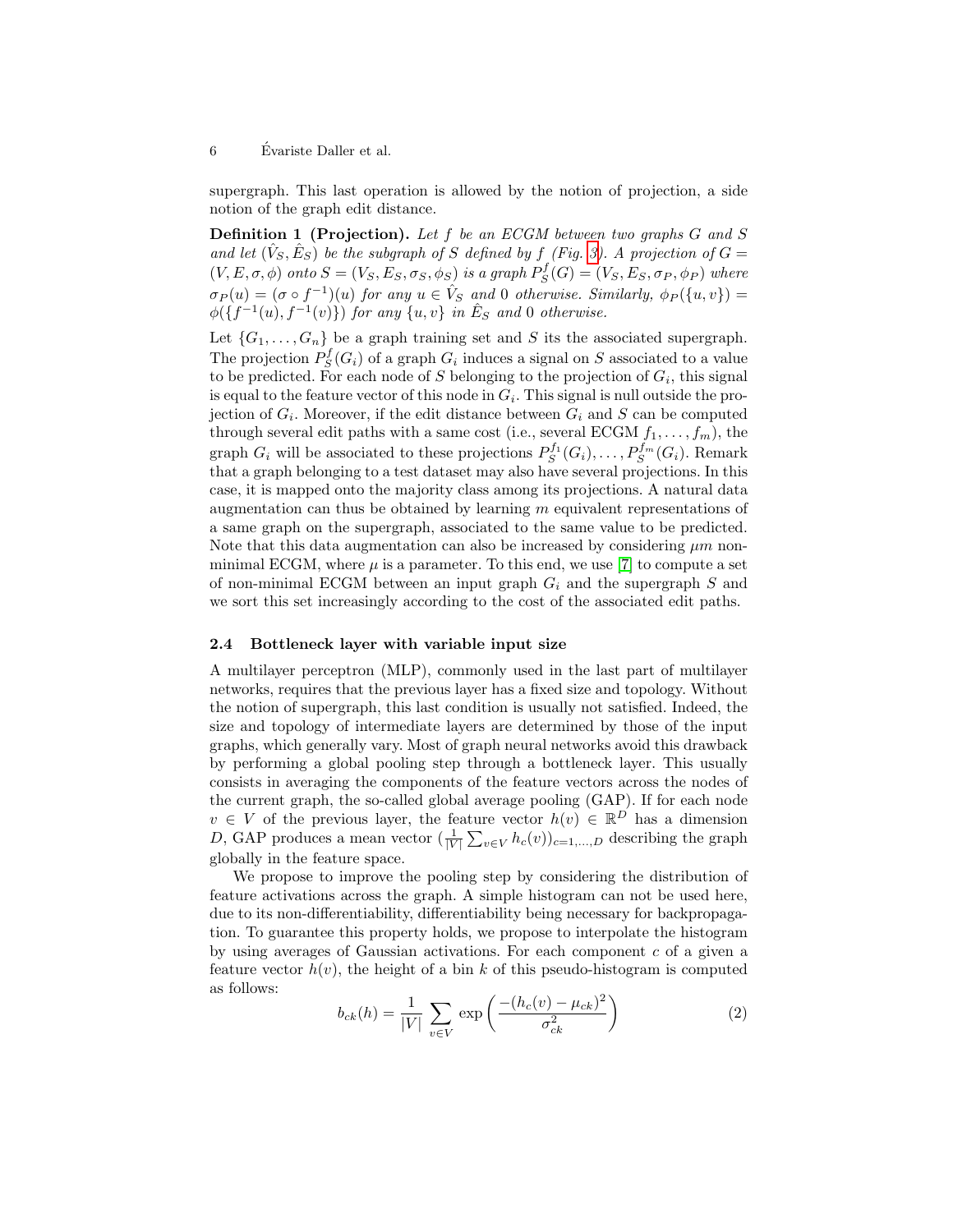6 Evariste Daller et al. ´

supergraph. This last operation is allowed by the notion of projection, a side notion of the graph edit distance.

Definition 1 (Projection). Let f be an ECGM between two graphs G and S and let  $(\hat{V}_S, \hat{E}_S)$  be the subgraph of S defined by f (Fig. 3). A projection of  $G =$  $(V, E, \sigma, \phi)$  onto  $S = (V_S, E_S, \sigma_S, \phi_S)$  is a graph  $P_S^f(G) = (V_S, E_S, \sigma_P, \phi_P)$  where  $\sigma_P(u) = (\sigma \circ f^{-1})(u)$  for any  $u \in \hat{V}_S$  and 0 otherwise. Similarly,  $\phi_P(\lbrace u, v \rbrace) =$  $\phi(\lbrace f^{-1}(u), f^{-1}(v)\rbrace)$  for any  $\lbrace u, v \rbrace$  in  $\hat{E}_S$  and 0 otherwise.

Let  $\{G_1, \ldots, G_n\}$  be a graph training set and S its the associated supergraph. The projection  $P_S^f(G_i)$  of a graph  $G_i$  induces a signal on S associated to a value to be predicted. For each node of S belonging to the projection of  $G_i$ , this signal is equal to the feature vector of this node in  $G_i$ . This signal is null outside the projection of  $G_i$ . Moreover, if the edit distance between  $G_i$  and S can be computed through several edit paths with a same cost (i.e., several ECGM  $f_1, \ldots, f_m$ ), the graph  $G_i$  will be associated to these projections  $P_S^{f_1}(G_i), \ldots, P_S^{f_m}(G_i)$ . Remark that a graph belonging to a test dataset may also have several projections. In this case, it is mapped onto the majority class among its projections. A natural data augmentation can thus be obtained by learning  $m$  equivalent representations of a same graph on the supergraph, associated to the same value to be predicted. Note that this data augmentation can also be increased by considering  $\mu m$  nonminimal ECGM, where  $\mu$  is a parameter. To this end, we use [7] to compute a set of non-minimal ECGM between an input graph  $G_i$  and the supergraph S and we sort this set increasingly according to the cost of the associated edit paths.

#### 2.4 Bottleneck layer with variable input size

A multilayer perceptron (MLP), commonly used in the last part of multilayer networks, requires that the previous layer has a fixed size and topology. Without the notion of supergraph, this last condition is usually not satisfied. Indeed, the size and topology of intermediate layers are determined by those of the input graphs, which generally vary. Most of graph neural networks avoid this drawback by performing a global pooling step through a bottleneck layer. This usually consists in averaging the components of the feature vectors across the nodes of the current graph, the so-called global average pooling (GAP). If for each node  $v \in V$  of the previous layer, the feature vector  $h(v) \in \mathbb{R}^D$  has a dimension D, GAP produces a mean vector  $(\frac{1}{|V|}\sum_{v\in V} h_c(v))_{c=1,\dots,D}$  describing the graph globally in the feature space.

We propose to improve the pooling step by considering the distribution of feature activations across the graph. A simple histogram can not be used here, due to its non-differentiability, differentiability being necessary for backpropagation. To guarantee this property holds, we propose to interpolate the histogram by using averages of Gaussian activations. For each component c of a given a feature vector  $h(v)$ , the height of a bin k of this pseudo-histogram is computed as follows:

$$
b_{ck}(h) = \frac{1}{|V|} \sum_{v \in V} \exp\left(\frac{-(h_c(v) - \mu_{ck})^2}{\sigma_{ck}^2}\right)
$$
 (2)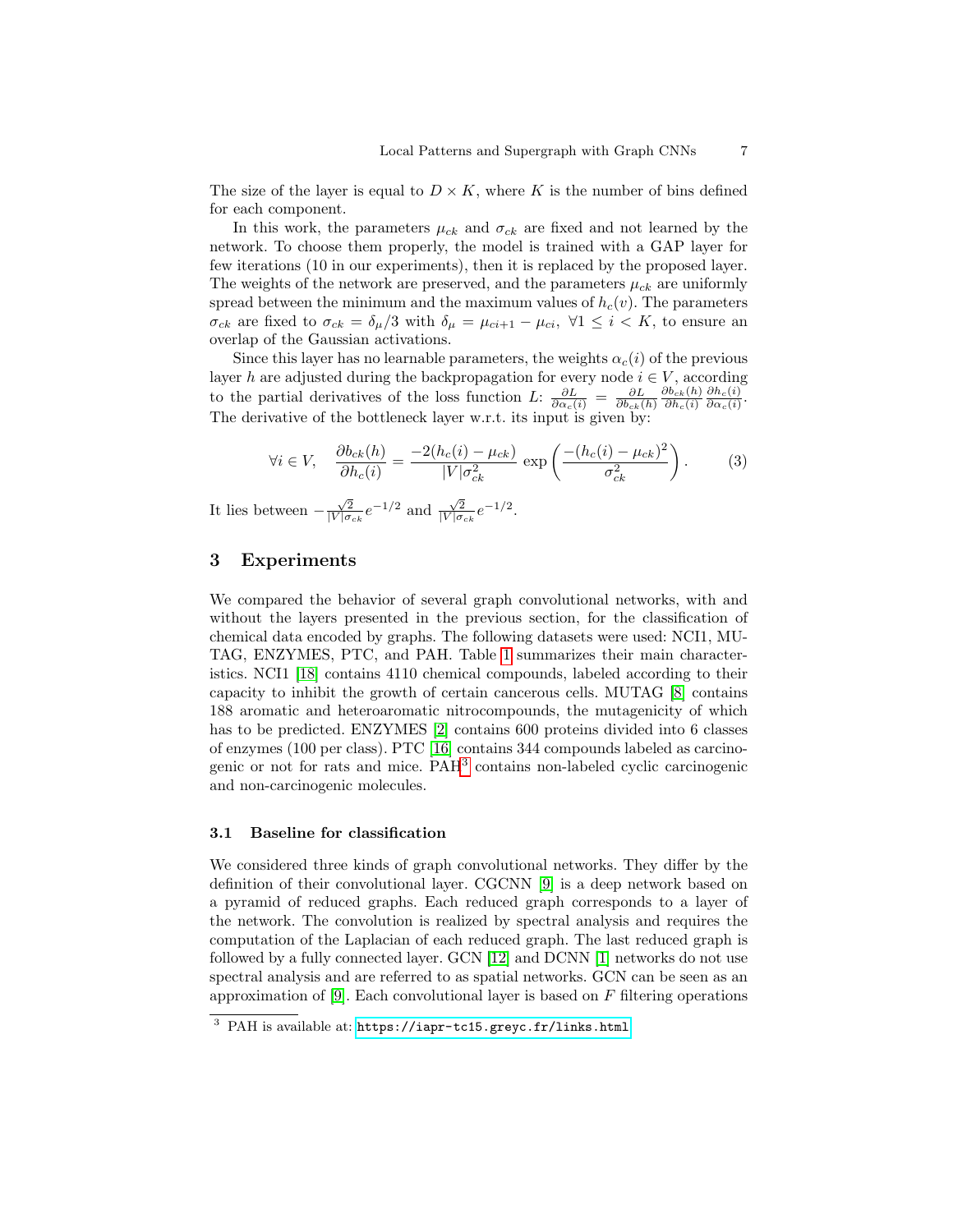The size of the layer is equal to  $D \times K$ , where K is the number of bins defined for each component.

In this work, the parameters  $\mu_{ck}$  and  $\sigma_{ck}$  are fixed and not learned by the network. To choose them properly, the model is trained with a GAP layer for few iterations (10 in our experiments), then it is replaced by the proposed layer. The weights of the network are preserved, and the parameters  $\mu_{ck}$  are uniformly spread between the minimum and the maximum values of  $h_c(v)$ . The parameters  $\sigma_{ck}$  are fixed to  $\sigma_{ck} = \delta_{\mu}/3$  with  $\delta_{\mu} = \mu_{ci+1} - \mu_{ci}$ ,  $\forall 1 \leq i \leq K$ , to ensure an overlap of the Gaussian activations.

Since this layer has no learnable parameters, the weights  $\alpha_c(i)$  of the previous layer h are adjusted during the backpropagation for every node  $i \in V$ , according to the partial derivatives of the loss function L:  $\frac{\partial L}{\partial \alpha_c(i)} = \frac{\partial L}{\partial b_{ck}(h)}$  $\partial b_{ck}(h)$  $\partial h_c(i)$  $\partial h_c(i)$  $\frac{\partial h_c(i)}{\partial \alpha_c(i)}$ . The derivative of the bottleneck layer w.r.t. its input is given by:

$$
\forall i \in V, \quad \frac{\partial b_{ck}(h)}{\partial h_c(i)} = \frac{-2(h_c(i) - \mu_{ck})}{|V|\sigma_{ck}^2} \exp\left(\frac{-(h_c(i) - \mu_{ck})^2}{\sigma_{ck}^2}\right). \tag{3}
$$

It lies between  $-\frac{\sqrt{2}}{|V|\sigma_{ck}}e^{-1/2}$  and  $\frac{\sqrt{2}}{|V|\sigma_{ck}}e^{-1/2}$ .

# 3 Experiments

We compared the behavior of several graph convolutional networks, with and without the layers presented in the previous section, for the classification of chemical data encoded by graphs. The following datasets were used: NCI1, MU-TAG, ENZYMES, PTC, and PAH. Table 1 summarizes their main characteristics. NCI1 [18] contains 4110 chemical compounds, labeled according to their capacity to inhibit the growth of certain cancerous cells. MUTAG [8] contains 188 aromatic and heteroaromatic nitrocompounds, the mutagenicity of which has to be predicted. ENZYMES [2] contains 600 proteins divided into 6 classes of enzymes (100 per class). PTC [16] contains 344 compounds labeled as carcinogenic or not for rats and mice. PAH3 contains non-labeled cyclic carcinogenic and non-carcinogenic molecules.

#### 3.1 Baseline for classification

We considered three kinds of graph convolutional networks. They differ by the definition of their convolutional layer. CGCNN [9] is a deep network based on a pyramid of reduced graphs. Each reduced graph corresponds to a layer of the network. The convolution is realized by spectral analysis and requires the computation of the Laplacian of each reduced graph. The last reduced graph is followed by a fully connected layer. GCN [12] and DCNN [1] networks do not use spectral analysis and are referred to as spatial networks. GCN can be seen as an approximation of [9]. Each convolutional layer is based on  $F$  filtering operations

<sup>3</sup> PAH is available at: <https://iapr-tc15.greyc.fr/links.html>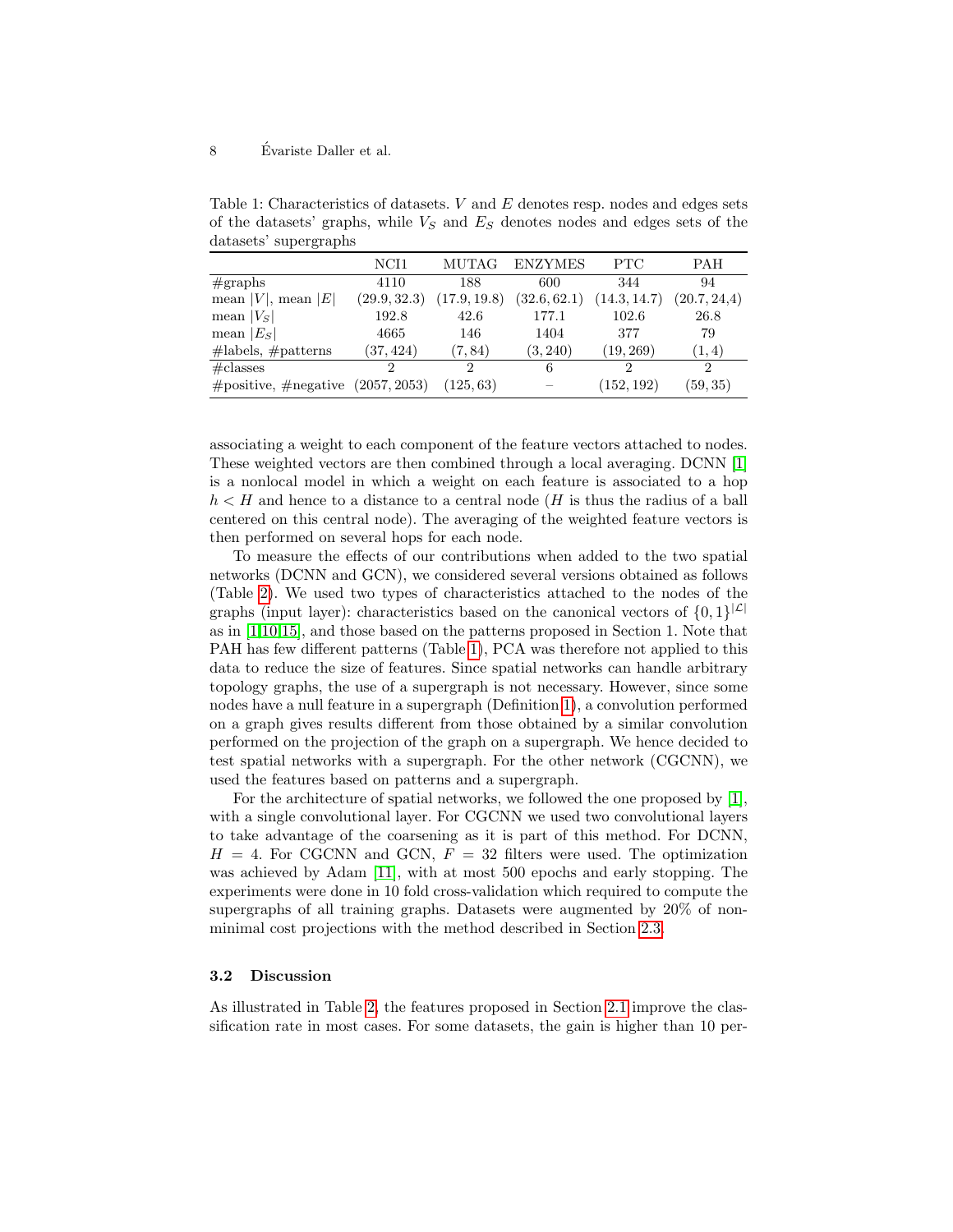#### 8 Evariste Daller et al. ´

Table 1: Characteristics of datasets.  $V$  and  $E$  denotes resp. nodes and edges sets of the datasets' graphs, while  $V_S$  and  $E_S$  denotes nodes and edges sets of the datasets' supergraphs

|                                           | NCH <sub>1</sub> | MUTAG                        | <b>ENZYMES</b> | <b>PTC</b>   | <b>PAH</b>    |  |
|-------------------------------------------|------------------|------------------------------|----------------|--------------|---------------|--|
| #graphs                                   | 4110             | 188                          | 600            | 344          | 94            |  |
| mean  V , mean $ E $                      | (29.9, 32.3)     | (32.6, 62.1)<br>(17.9, 19.8) |                | (14.3, 14.7) | (20.7, 24.4)  |  |
| mean $ V_{S} $                            | 192.8            | 42.6                         | 177.1          | 102.6        | 26.8          |  |
| mean $ E_S $                              | 4665             | 146                          | 1404           | 377          | 79            |  |
| $\#labels, \#patterns$                    | (37, 424)        | (7, 84)                      | (3, 240)       | (19, 269)    | (1, 4)        |  |
| $\#$ classes                              | ച                | 9                            | 6              | 9            | $\mathcal{D}$ |  |
| $\#$ positive, $\#$ negative (2057, 2053) |                  | (125, 63)                    |                | (152, 192)   | (59, 35)      |  |

associating a weight to each component of the feature vectors attached to nodes. These weighted vectors are then combined through a local averaging. DCNN [1] is a nonlocal model in which a weight on each feature is associated to a hop  $h < H$  and hence to a distance to a central node (H is thus the radius of a ball centered on this central node). The averaging of the weighted feature vectors is then performed on several hops for each node.

To measure the effects of our contributions when added to the two spatial networks (DCNN and GCN), we considered several versions obtained as follows (Table 2). We used two types of characteristics attached to the nodes of the graphs (input layer): characteristics based on the canonical vectors of  $\{0,1\}^{|\mathcal{L}|}$ as in [1,10,15], and those based on the patterns proposed in Section 1. Note that PAH has few different patterns (Table 1), PCA was therefore not applied to this data to reduce the size of features. Since spatial networks can handle arbitrary topology graphs, the use of a supergraph is not necessary. However, since some nodes have a null feature in a supergraph (Definition 1), a convolution performed on a graph gives results different from those obtained by a similar convolution performed on the projection of the graph on a supergraph. We hence decided to test spatial networks with a supergraph. For the other network (CGCNN), we used the features based on patterns and a supergraph.

For the architecture of spatial networks, we followed the one proposed by [1], with a single convolutional layer. For CGCNN we used two convolutional layers to take advantage of the coarsening as it is part of this method. For DCNN,  $H = 4$ . For CGCNN and GCN,  $F = 32$  filters were used. The optimization was achieved by Adam [11], with at most 500 epochs and early stopping. The experiments were done in 10 fold cross-validation which required to compute the supergraphs of all training graphs. Datasets were augmented by 20% of nonminimal cost projections with the method described in Section 2.3.

#### 3.2 Discussion

As illustrated in Table 2, the features proposed in Section 2.1 improve the classification rate in most cases. For some datasets, the gain is higher than 10 per-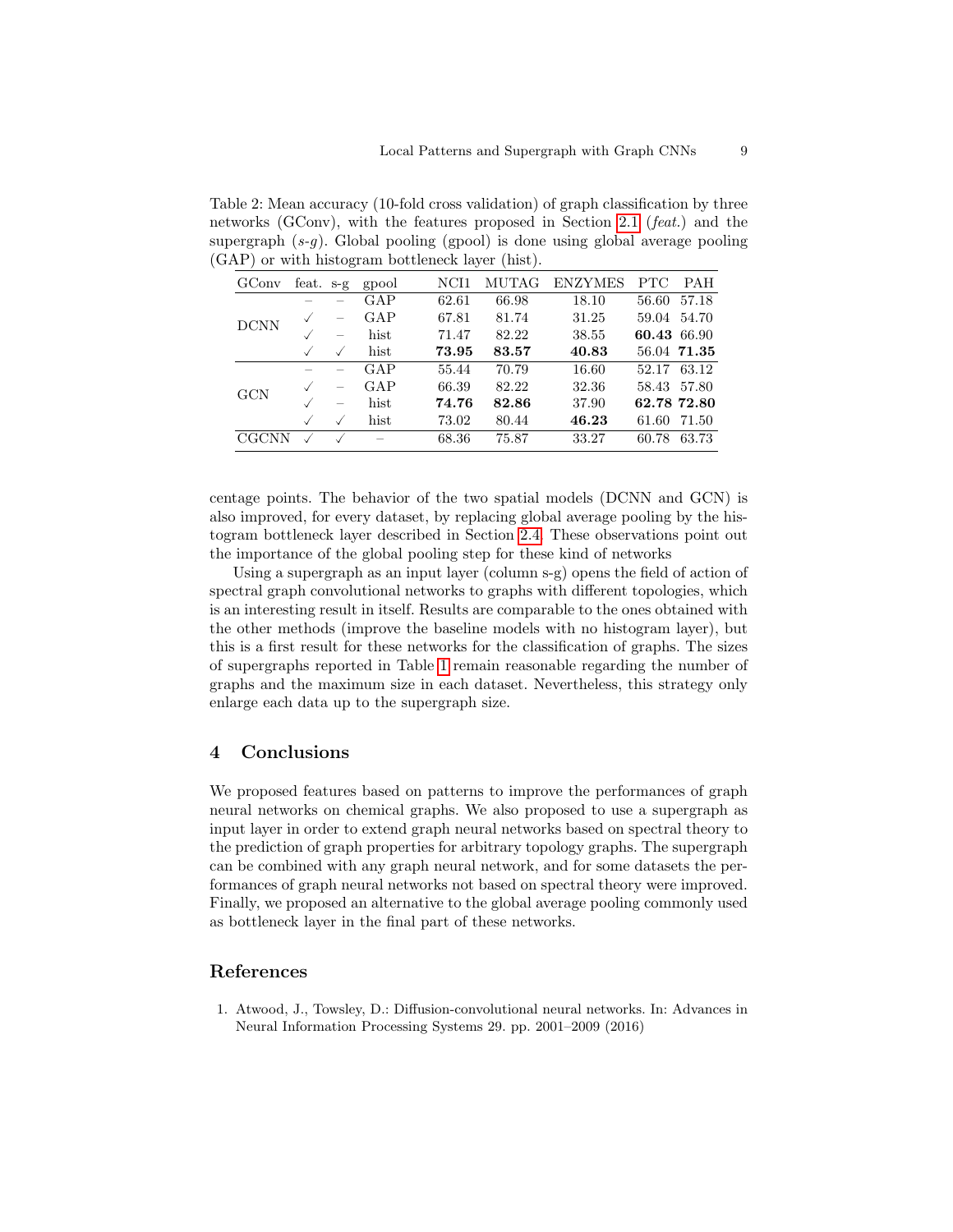Table 2: Mean accuracy (10-fold cross validation) of graph classification by three networks (GConv), with the features proposed in Section 2.1 (feat.) and the supergraph  $(s-q)$ . Global pooling (gpool) is done using global average pooling (GAP) or with histogram bottleneck layer (hist).

| GConv       | feat. $s-g$ |           | gpool | NCH1  | MUTAG | <b>ENZYMES</b> | PTC         | <b>PAH</b>  |
|-------------|-------------|-----------|-------|-------|-------|----------------|-------------|-------------|
| <b>DCNN</b> |             |           | GAP   | 62.61 | 66.98 | 18.10          | 56.60       | 57.18       |
|             |             |           | GAP   | 67.81 | 81.74 | 31.25          | 59.04       | 54.70       |
|             |             |           | hist  | 71.47 | 82.22 | 38.55          | 60.43 66.90 |             |
|             |             | $\sqrt{}$ | hist  | 73.95 | 83.57 | 40.83          |             | 56.04 71.35 |
| GCN         |             |           | GAP   | 55.44 | 70.79 | 16.60          | 52.17       | 63.12       |
|             |             |           | GAP   | 66.39 | 82.22 | 32.36          | 58.43       | 57.80       |
|             |             |           | hist  | 74.76 | 82.86 | 37.90          |             | 62.78 72.80 |
|             |             |           | hist  | 73.02 | 80.44 | 46.23          | 61.60       | 71.50       |
| CGCNN       |             |           |       | 68.36 | 75.87 | 33.27          | 60.78       | 63.73       |

centage points. The behavior of the two spatial models (DCNN and GCN) is also improved, for every dataset, by replacing global average pooling by the histogram bottleneck layer described in Section 2.4. These observations point out the importance of the global pooling step for these kind of networks

Using a supergraph as an input layer (column s-g) opens the field of action of spectral graph convolutional networks to graphs with different topologies, which is an interesting result in itself. Results are comparable to the ones obtained with the other methods (improve the baseline models with no histogram layer), but this is a first result for these networks for the classification of graphs. The sizes of supergraphs reported in Table 1 remain reasonable regarding the number of graphs and the maximum size in each dataset. Nevertheless, this strategy only enlarge each data up to the supergraph size.

## 4 Conclusions

We proposed features based on patterns to improve the performances of graph neural networks on chemical graphs. We also proposed to use a supergraph as input layer in order to extend graph neural networks based on spectral theory to the prediction of graph properties for arbitrary topology graphs. The supergraph can be combined with any graph neural network, and for some datasets the performances of graph neural networks not based on spectral theory were improved. Finally, we proposed an alternative to the global average pooling commonly used as bottleneck layer in the final part of these networks.

## References

1. Atwood, J., Towsley, D.: Diffusion-convolutional neural networks. In: Advances in Neural Information Processing Systems 29. pp. 2001–2009 (2016)